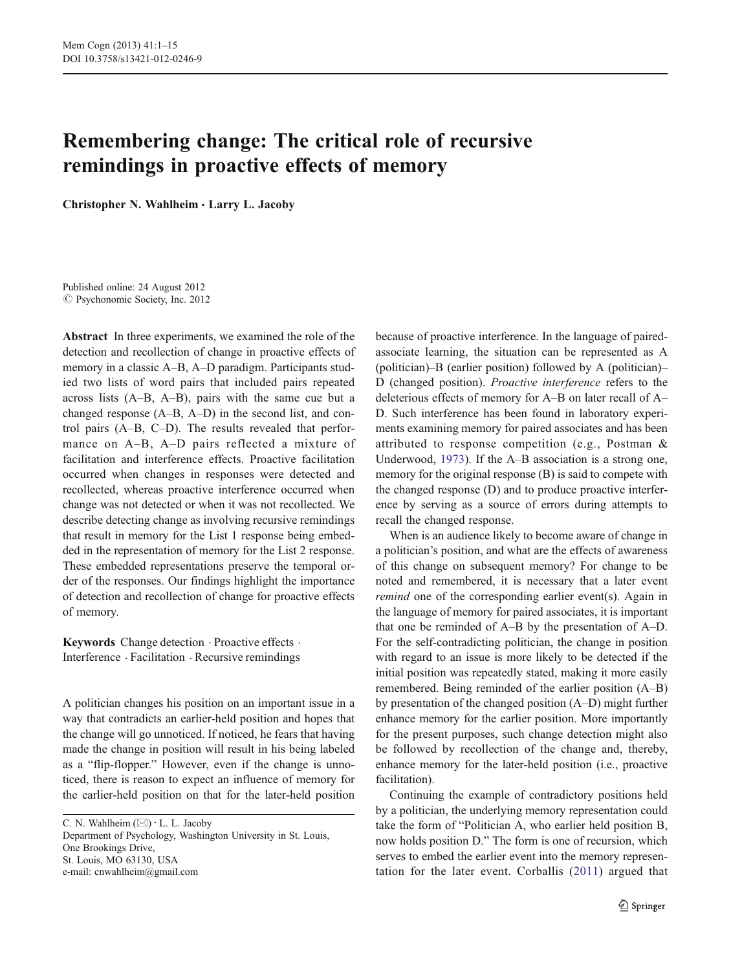# Remembering change: The critical role of recursive remindings in proactive effects of memory

Christopher N. Wahlheim · Larry L. Jacoby

Published online: 24 August 2012  $\odot$  Psychonomic Society, Inc. 2012

Abstract In three experiments, we examined the role of the detection and recollection of change in proactive effects of memory in a classic A–B, A–D paradigm. Participants studied two lists of word pairs that included pairs repeated across lists (A–B, A–B), pairs with the same cue but a changed response (A–B, A–D) in the second list, and control pairs (A–B, C–D). The results revealed that performance on A–B, A–D pairs reflected a mixture of facilitation and interference effects. Proactive facilitation occurred when changes in responses were detected and recollected, whereas proactive interference occurred when change was not detected or when it was not recollected. We describe detecting change as involving recursive remindings that result in memory for the List 1 response being embedded in the representation of memory for the List 2 response. These embedded representations preserve the temporal order of the responses. Our findings highlight the importance of detection and recollection of change for proactive effects of memory.

Keywords Change detection . Proactive effects . Interference . Facilitation . Recursive remindings

A politician changes his position on an important issue in a way that contradicts an earlier-held position and hopes that the change will go unnoticed. If noticed, he fears that having made the change in position will result in his being labeled as a "flip-flopper." However, even if the change is unnoticed, there is reason to expect an influence of memory for the earlier-held position on that for the later-held position

C. N. Wahlheim  $(\boxtimes) \cdot$  L. L. Jacoby Department of Psychology, Washington University in St. Louis, One Brookings Drive, St. Louis, MO 63130, USA e-mail: cnwahlheim@gmail.com

because of proactive interference. In the language of pairedassociate learning, the situation can be represented as A (politician)–B (earlier position) followed by A (politician)– D (changed position). Proactive interference refers to the deleterious effects of memory for A–B on later recall of A– D. Such interference has been found in laboratory experiments examining memory for paired associates and has been attributed to response competition (e.g., Postman & Underwood, [1973\)](#page-14-0). If the A–B association is a strong one, memory for the original response (B) is said to compete with the changed response (D) and to produce proactive interference by serving as a source of errors during attempts to recall the changed response.

When is an audience likely to become aware of change in a politician's position, and what are the effects of awareness of this change on subsequent memory? For change to be noted and remembered, it is necessary that a later event remind one of the corresponding earlier event(s). Again in the language of memory for paired associates, it is important that one be reminded of A–B by the presentation of A–D. For the self-contradicting politician, the change in position with regard to an issue is more likely to be detected if the initial position was repeatedly stated, making it more easily remembered. Being reminded of the earlier position (A–B) by presentation of the changed position (A–D) might further enhance memory for the earlier position. More importantly for the present purposes, such change detection might also be followed by recollection of the change and, thereby, enhance memory for the later-held position (i.e., proactive facilitation).

Continuing the example of contradictory positions held by a politician, the underlying memory representation could take the form of "Politician A, who earlier held position B, now holds position D." The form is one of recursion, which serves to embed the earlier event into the memory representation for the later event. Corballis ([2011](#page-13-0)) argued that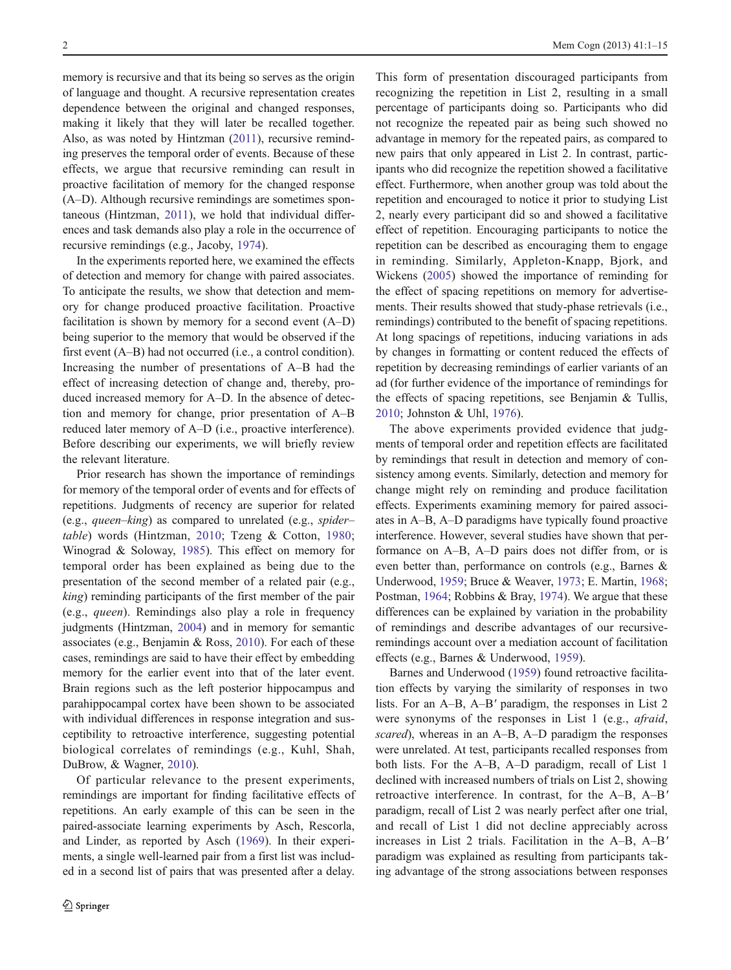memory is recursive and that its being so serves as the origin of language and thought. A recursive representation creates dependence between the original and changed responses, making it likely that they will later be recalled together. Also, as was noted by Hintzman ([2011\)](#page-13-0), recursive reminding preserves the temporal order of events. Because of these effects, we argue that recursive reminding can result in proactive facilitation of memory for the changed response (A–D). Although recursive remindings are sometimes spontaneous (Hintzman, [2011\)](#page-13-0), we hold that individual differences and task demands also play a role in the occurrence of recursive remindings (e.g., Jacoby, [1974\)](#page-13-0).

In the experiments reported here, we examined the effects of detection and memory for change with paired associates. To anticipate the results, we show that detection and memory for change produced proactive facilitation. Proactive facilitation is shown by memory for a second event (A–D) being superior to the memory that would be observed if the first event (A–B) had not occurred (i.e., a control condition). Increasing the number of presentations of A–B had the effect of increasing detection of change and, thereby, produced increased memory for A–D. In the absence of detection and memory for change, prior presentation of A–B reduced later memory of A–D (i.e., proactive interference). Before describing our experiments, we will briefly review the relevant literature.

Prior research has shown the importance of remindings for memory of the temporal order of events and for effects of repetitions. Judgments of recency are superior for related (e.g., queen–king) as compared to unrelated (e.g., spider– table) words (Hintzman, [2010;](#page-13-0) Tzeng & Cotton, [1980](#page-14-0); Winograd & Soloway, [1985\)](#page-14-0). This effect on memory for temporal order has been explained as being due to the presentation of the second member of a related pair (e.g., king) reminding participants of the first member of the pair (e.g., queen). Remindings also play a role in frequency judgments (Hintzman, [2004\)](#page-13-0) and in memory for semantic associates (e.g., Benjamin & Ross, [2010](#page-13-0)). For each of these cases, remindings are said to have their effect by embedding memory for the earlier event into that of the later event. Brain regions such as the left posterior hippocampus and parahippocampal cortex have been shown to be associated with individual differences in response integration and susceptibility to retroactive interference, suggesting potential biological correlates of remindings (e.g., Kuhl, Shah, DuBrow, & Wagner, [2010](#page-13-0)).

Of particular relevance to the present experiments, remindings are important for finding facilitative effects of repetitions. An early example of this can be seen in the paired-associate learning experiments by Asch, Rescorla, and Linder, as reported by Asch ([1969\)](#page-13-0). In their experiments, a single well-learned pair from a first list was included in a second list of pairs that was presented after a delay.

This form of presentation discouraged participants from recognizing the repetition in List 2, resulting in a small percentage of participants doing so. Participants who did not recognize the repeated pair as being such showed no advantage in memory for the repeated pairs, as compared to new pairs that only appeared in List 2. In contrast, participants who did recognize the repetition showed a facilitative effect. Furthermore, when another group was told about the repetition and encouraged to notice it prior to studying List 2, nearly every participant did so and showed a facilitative effect of repetition. Encouraging participants to notice the repetition can be described as encouraging them to engage in reminding. Similarly, Appleton-Knapp, Bjork, and Wickens ([2005\)](#page-13-0) showed the importance of reminding for the effect of spacing repetitions on memory for advertisements. Their results showed that study-phase retrievals (i.e., remindings) contributed to the benefit of spacing repetitions. At long spacings of repetitions, inducing variations in ads by changes in formatting or content reduced the effects of repetition by decreasing remindings of earlier variants of an ad (for further evidence of the importance of remindings for the effects of spacing repetitions, see Benjamin & Tullis, [2010](#page-13-0); Johnston & Uhl, [1976](#page-13-0)).

The above experiments provided evidence that judgments of temporal order and repetition effects are facilitated by remindings that result in detection and memory of consistency among events. Similarly, detection and memory for change might rely on reminding and produce facilitation effects. Experiments examining memory for paired associates in A–B, A–D paradigms have typically found proactive interference. However, several studies have shown that performance on A–B, A–D pairs does not differ from, or is even better than, performance on controls (e.g., Barnes & Underwood, [1959;](#page-13-0) Bruce & Weaver, [1973;](#page-13-0) E. Martin, [1968;](#page-14-0) Postman, [1964](#page-14-0); Robbins & Bray, [1974](#page-14-0)). We argue that these differences can be explained by variation in the probability of remindings and describe advantages of our recursiveremindings account over a mediation account of facilitation effects (e.g., Barnes & Underwood, [1959\)](#page-13-0).

Barnes and Underwood [\(1959](#page-13-0)) found retroactive facilitation effects by varying the similarity of responses in two lists. For an A–B, A–B' paradigm, the responses in List 2 were synonyms of the responses in List 1 (e.g., afraid, scared), whereas in an A–B, A–D paradigm the responses were unrelated. At test, participants recalled responses from both lists. For the A–B, A–D paradigm, recall of List 1 declined with increased numbers of trials on List 2, showing retroactive interference. In contrast, for the A–B, A–B' paradigm, recall of List 2 was nearly perfect after one trial, and recall of List 1 did not decline appreciably across increases in List 2 trials. Facilitation in the A–B, A–B' paradigm was explained as resulting from participants taking advantage of the strong associations between responses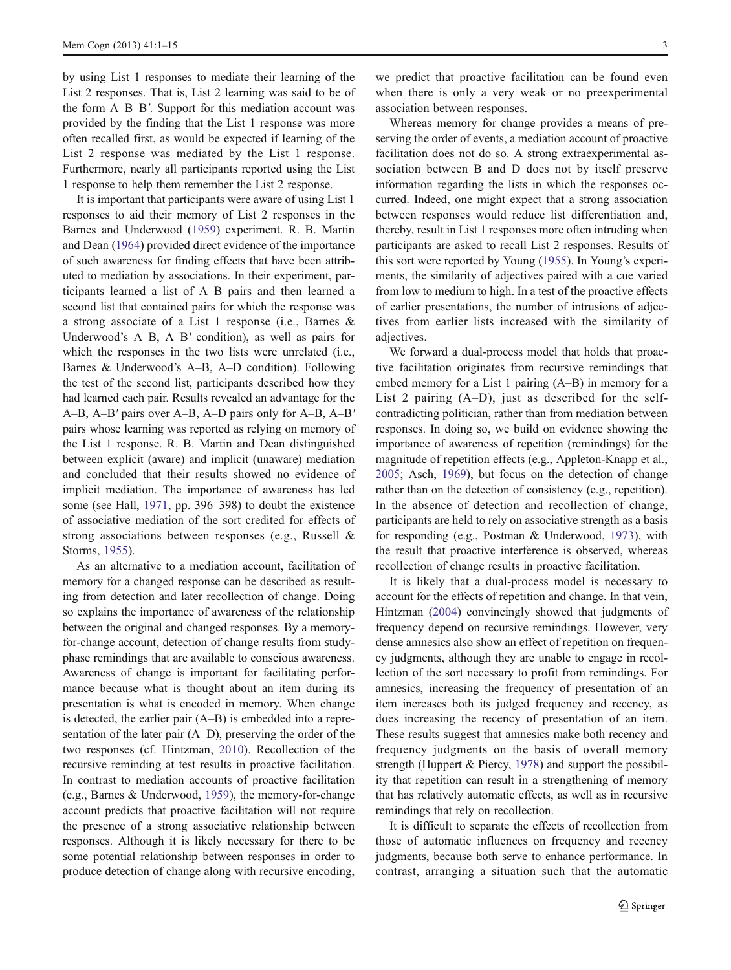by using List 1 responses to mediate their learning of the List 2 responses. That is, List 2 learning was said to be of the form A–B–B'. Support for this mediation account was provided by the finding that the List 1 response was more often recalled first, as would be expected if learning of the List 2 response was mediated by the List 1 response. Furthermore, nearly all participants reported using the List 1 response to help them remember the List 2 response.

It is important that participants were aware of using List 1 responses to aid their memory of List 2 responses in the Barnes and Underwood [\(1959](#page-13-0)) experiment. R. B. Martin and Dean [\(1964](#page-14-0)) provided direct evidence of the importance of such awareness for finding effects that have been attributed to mediation by associations. In their experiment, participants learned a list of A–B pairs and then learned a second list that contained pairs for which the response was a strong associate of a List 1 response (i.e., Barnes & Underwood's A–B, A–B' condition), as well as pairs for which the responses in the two lists were unrelated (i.e., Barnes & Underwood's A–B, A–D condition). Following the test of the second list, participants described how they had learned each pair. Results revealed an advantage for the A–B, A–B' pairs over A–B, A–D pairs only for A–B, A–B' pairs whose learning was reported as relying on memory of the List 1 response. R. B. Martin and Dean distinguished between explicit (aware) and implicit (unaware) mediation and concluded that their results showed no evidence of implicit mediation. The importance of awareness has led some (see Hall, [1971](#page-13-0), pp. 396–398) to doubt the existence of associative mediation of the sort credited for effects of strong associations between responses (e.g., Russell & Storms, [1955](#page-14-0)).

As an alternative to a mediation account, facilitation of memory for a changed response can be described as resulting from detection and later recollection of change. Doing so explains the importance of awareness of the relationship between the original and changed responses. By a memoryfor-change account, detection of change results from studyphase remindings that are available to conscious awareness. Awareness of change is important for facilitating performance because what is thought about an item during its presentation is what is encoded in memory. When change is detected, the earlier pair (A–B) is embedded into a representation of the later pair (A–D), preserving the order of the two responses (cf. Hintzman, [2010\)](#page-13-0). Recollection of the recursive reminding at test results in proactive facilitation. In contrast to mediation accounts of proactive facilitation (e.g., Barnes & Underwood, [1959\)](#page-13-0), the memory-for-change account predicts that proactive facilitation will not require the presence of a strong associative relationship between responses. Although it is likely necessary for there to be some potential relationship between responses in order to produce detection of change along with recursive encoding,

we predict that proactive facilitation can be found even when there is only a very weak or no preexperimental association between responses.

Whereas memory for change provides a means of preserving the order of events, a mediation account of proactive facilitation does not do so. A strong extraexperimental association between B and D does not by itself preserve information regarding the lists in which the responses occurred. Indeed, one might expect that a strong association between responses would reduce list differentiation and, thereby, result in List 1 responses more often intruding when participants are asked to recall List 2 responses. Results of this sort were reported by Young [\(1955\)](#page-14-0). In Young's experiments, the similarity of adjectives paired with a cue varied from low to medium to high. In a test of the proactive effects of earlier presentations, the number of intrusions of adjectives from earlier lists increased with the similarity of adjectives.

We forward a dual-process model that holds that proactive facilitation originates from recursive remindings that embed memory for a List 1 pairing (A–B) in memory for a List 2 pairing  $(A-D)$ , just as described for the selfcontradicting politician, rather than from mediation between responses. In doing so, we build on evidence showing the importance of awareness of repetition (remindings) for the magnitude of repetition effects (e.g., Appleton-Knapp et al., [2005](#page-13-0); Asch, [1969](#page-13-0)), but focus on the detection of change rather than on the detection of consistency (e.g., repetition). In the absence of detection and recollection of change, participants are held to rely on associative strength as a basis for responding (e.g., Postman & Underwood, [1973\)](#page-14-0), with the result that proactive interference is observed, whereas recollection of change results in proactive facilitation.

It is likely that a dual-process model is necessary to account for the effects of repetition and change. In that vein, Hintzman ([2004\)](#page-13-0) convincingly showed that judgments of frequency depend on recursive remindings. However, very dense amnesics also show an effect of repetition on frequency judgments, although they are unable to engage in recollection of the sort necessary to profit from remindings. For amnesics, increasing the frequency of presentation of an item increases both its judged frequency and recency, as does increasing the recency of presentation of an item. These results suggest that amnesics make both recency and frequency judgments on the basis of overall memory strength (Huppert & Piercy, [1978\)](#page-13-0) and support the possibility that repetition can result in a strengthening of memory that has relatively automatic effects, as well as in recursive remindings that rely on recollection.

It is difficult to separate the effects of recollection from those of automatic influences on frequency and recency judgments, because both serve to enhance performance. In contrast, arranging a situation such that the automatic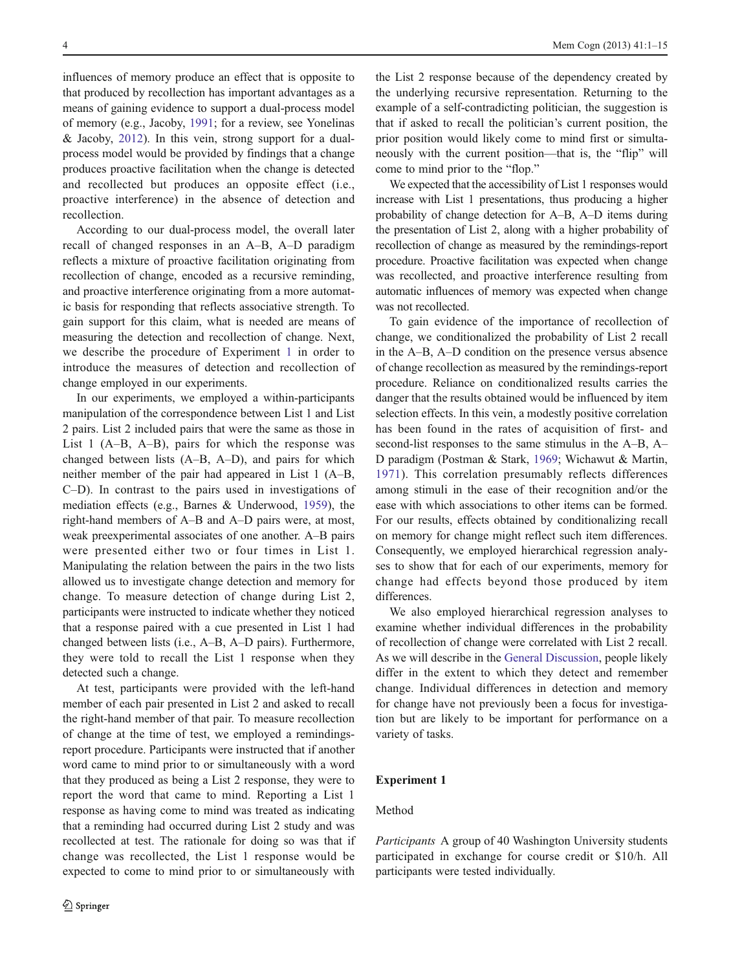<span id="page-3-0"></span>influences of memory produce an effect that is opposite to that produced by recollection has important advantages as a means of gaining evidence to support a dual-process model of memory (e.g., Jacoby, [1991](#page-13-0); for a review, see Yonelinas & Jacoby, [2012\)](#page-14-0). In this vein, strong support for a dualprocess model would be provided by findings that a change produces proactive facilitation when the change is detected and recollected but produces an opposite effect (i.e., proactive interference) in the absence of detection and recollection.

According to our dual-process model, the overall later recall of changed responses in an A–B, A–D paradigm reflects a mixture of proactive facilitation originating from recollection of change, encoded as a recursive reminding, and proactive interference originating from a more automatic basis for responding that reflects associative strength. To gain support for this claim, what is needed are means of measuring the detection and recollection of change. Next, we describe the procedure of Experiment 1 in order to introduce the measures of detection and recollection of change employed in our experiments.

In our experiments, we employed a within-participants manipulation of the correspondence between List 1 and List 2 pairs. List 2 included pairs that were the same as those in List 1 (A–B, A–B), pairs for which the response was changed between lists (A–B, A–D), and pairs for which neither member of the pair had appeared in List 1 (A–B, C–D). In contrast to the pairs used in investigations of mediation effects (e.g., Barnes & Underwood, [1959](#page-13-0)), the right-hand members of A–B and A–D pairs were, at most, weak preexperimental associates of one another. A–B pairs were presented either two or four times in List 1. Manipulating the relation between the pairs in the two lists allowed us to investigate change detection and memory for change. To measure detection of change during List 2, participants were instructed to indicate whether they noticed that a response paired with a cue presented in List 1 had changed between lists (i.e., A–B, A–D pairs). Furthermore, they were told to recall the List 1 response when they detected such a change.

At test, participants were provided with the left-hand member of each pair presented in List 2 and asked to recall the right-hand member of that pair. To measure recollection of change at the time of test, we employed a remindingsreport procedure. Participants were instructed that if another word came to mind prior to or simultaneously with a word that they produced as being a List 2 response, they were to report the word that came to mind. Reporting a List 1 response as having come to mind was treated as indicating that a reminding had occurred during List 2 study and was recollected at test. The rationale for doing so was that if change was recollected, the List 1 response would be expected to come to mind prior to or simultaneously with

the List 2 response because of the dependency created by the underlying recursive representation. Returning to the example of a self-contradicting politician, the suggestion is that if asked to recall the politician's current position, the prior position would likely come to mind first or simultaneously with the current position—that is, the "flip" will come to mind prior to the "flop."

We expected that the accessibility of List 1 responses would increase with List 1 presentations, thus producing a higher probability of change detection for A–B, A–D items during the presentation of List 2, along with a higher probability of recollection of change as measured by the remindings-report procedure. Proactive facilitation was expected when change was recollected, and proactive interference resulting from automatic influences of memory was expected when change was not recollected.

To gain evidence of the importance of recollection of change, we conditionalized the probability of List 2 recall in the A–B, A–D condition on the presence versus absence of change recollection as measured by the remindings-report procedure. Reliance on conditionalized results carries the danger that the results obtained would be influenced by item selection effects. In this vein, a modestly positive correlation has been found in the rates of acquisition of first- and second-list responses to the same stimulus in the A–B, A– D paradigm (Postman & Stark, [1969;](#page-14-0) Wichawut & Martin, [1971\)](#page-14-0). This correlation presumably reflects differences among stimuli in the ease of their recognition and/or the ease with which associations to other items can be formed. For our results, effects obtained by conditionalizing recall on memory for change might reflect such item differences. Consequently, we employed hierarchical regression analyses to show that for each of our experiments, memory for change had effects beyond those produced by item differences.

We also employed hierarchical regression analyses to examine whether individual differences in the probability of recollection of change were correlated with List 2 recall. As we will describe in the [General Discussion](#page-10-0), people likely differ in the extent to which they detect and remember change. Individual differences in detection and memory for change have not previously been a focus for investigation but are likely to be important for performance on a variety of tasks.

### Experiment 1

## Method

Participants A group of 40 Washington University students participated in exchange for course credit or \$10/h. All participants were tested individually.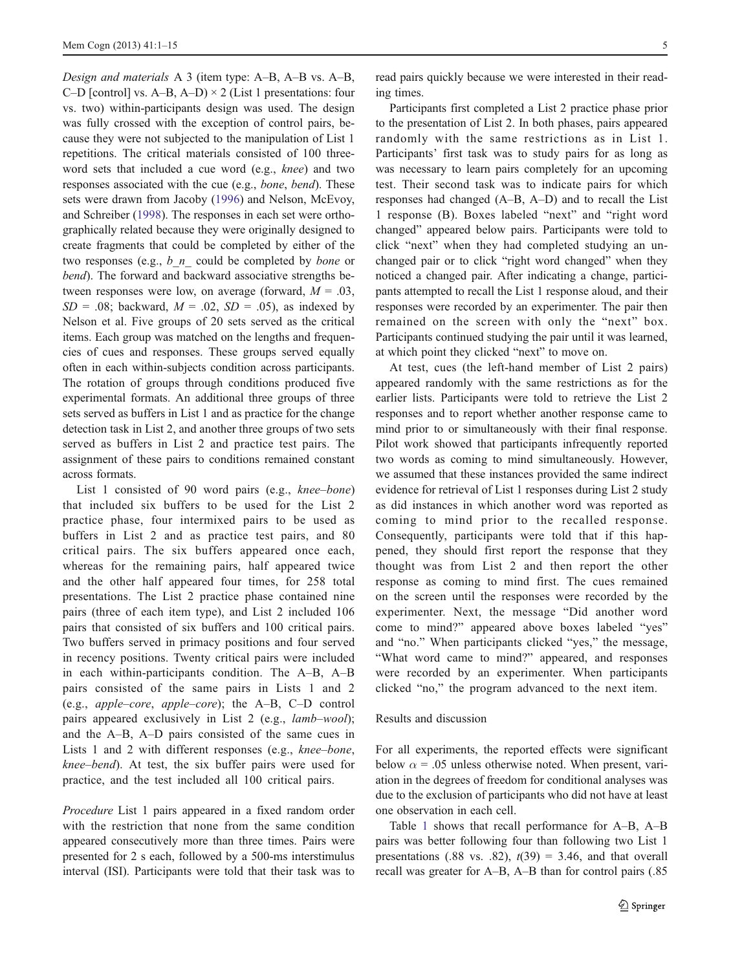Design and materials A 3 (item type: A–B, A–B vs. A–B, C–D [control] vs. A–B, A–D)  $\times$  2 (List 1 presentations: four vs. two) within-participants design was used. The design was fully crossed with the exception of control pairs, because they were not subjected to the manipulation of List 1 repetitions. The critical materials consisted of 100 threeword sets that included a cue word (e.g., knee) and two responses associated with the cue (e.g., bone, bend). These sets were drawn from Jacoby [\(1996](#page-13-0)) and Nelson, McEvoy, and Schreiber ([1998](#page-14-0)). The responses in each set were orthographically related because they were originally designed to create fragments that could be completed by either of the two responses (e.g.,  $b_n$  could be completed by *bone* or bend). The forward and backward associative strengths between responses were low, on average (forward,  $M = 0.03$ ,  $SD = .08$ ; backward,  $M = .02$ ,  $SD = .05$ ), as indexed by Nelson et al. Five groups of 20 sets served as the critical items. Each group was matched on the lengths and frequencies of cues and responses. These groups served equally often in each within-subjects condition across participants. The rotation of groups through conditions produced five experimental formats. An additional three groups of three sets served as buffers in List 1 and as practice for the change detection task in List 2, and another three groups of two sets served as buffers in List 2 and practice test pairs. The assignment of these pairs to conditions remained constant across formats.

List 1 consisted of 90 word pairs (e.g., knee–bone) that included six buffers to be used for the List 2 practice phase, four intermixed pairs to be used as buffers in List 2 and as practice test pairs, and 80 critical pairs. The six buffers appeared once each, whereas for the remaining pairs, half appeared twice and the other half appeared four times, for 258 total presentations. The List 2 practice phase contained nine pairs (three of each item type), and List 2 included 106 pairs that consisted of six buffers and 100 critical pairs. Two buffers served in primacy positions and four served in recency positions. Twenty critical pairs were included in each within-participants condition. The A–B, A–B pairs consisted of the same pairs in Lists 1 and 2 (e.g., apple–core, apple–core); the A–B, C–D control pairs appeared exclusively in List 2 (e.g., lamb–wool); and the A–B, A–D pairs consisted of the same cues in Lists 1 and 2 with different responses (e.g., knee–bone, knee–bend). At test, the six buffer pairs were used for practice, and the test included all 100 critical pairs.

Procedure List 1 pairs appeared in a fixed random order with the restriction that none from the same condition appeared consecutively more than three times. Pairs were presented for 2 s each, followed by a 500-ms interstimulus interval (ISI). Participants were told that their task was to read pairs quickly because we were interested in their reading times.

Participants first completed a List 2 practice phase prior to the presentation of List 2. In both phases, pairs appeared randomly with the same restrictions as in List 1. Participants' first task was to study pairs for as long as was necessary to learn pairs completely for an upcoming test. Their second task was to indicate pairs for which responses had changed (A–B, A–D) and to recall the List 1 response (B). Boxes labeled "next" and "right word changed" appeared below pairs. Participants were told to click "next" when they had completed studying an unchanged pair or to click "right word changed" when they noticed a changed pair. After indicating a change, participants attempted to recall the List 1 response aloud, and their responses were recorded by an experimenter. The pair then remained on the screen with only the "next" box. Participants continued studying the pair until it was learned, at which point they clicked "next" to move on.

At test, cues (the left-hand member of List 2 pairs) appeared randomly with the same restrictions as for the earlier lists. Participants were told to retrieve the List 2 responses and to report whether another response came to mind prior to or simultaneously with their final response. Pilot work showed that participants infrequently reported two words as coming to mind simultaneously. However, we assumed that these instances provided the same indirect evidence for retrieval of List 1 responses during List 2 study as did instances in which another word was reported as coming to mind prior to the recalled response. Consequently, participants were told that if this happened, they should first report the response that they thought was from List 2 and then report the other response as coming to mind first. The cues remained on the screen until the responses were recorded by the experimenter. Next, the message "Did another word come to mind?" appeared above boxes labeled "yes" and "no." When participants clicked "yes," the message, "What word came to mind?" appeared, and responses were recorded by an experimenter. When participants clicked "no," the program advanced to the next item.

## Results and discussion

For all experiments, the reported effects were significant below  $\alpha = 0.05$  unless otherwise noted. When present, variation in the degrees of freedom for conditional analyses was due to the exclusion of participants who did not have at least one observation in each cell.

Table [1](#page-5-0) shows that recall performance for A–B, A–B pairs was better following four than following two List 1 presentations (.88 vs. .82),  $t(39) = 3.46$ , and that overall recall was greater for A–B, A–B than for control pairs (.85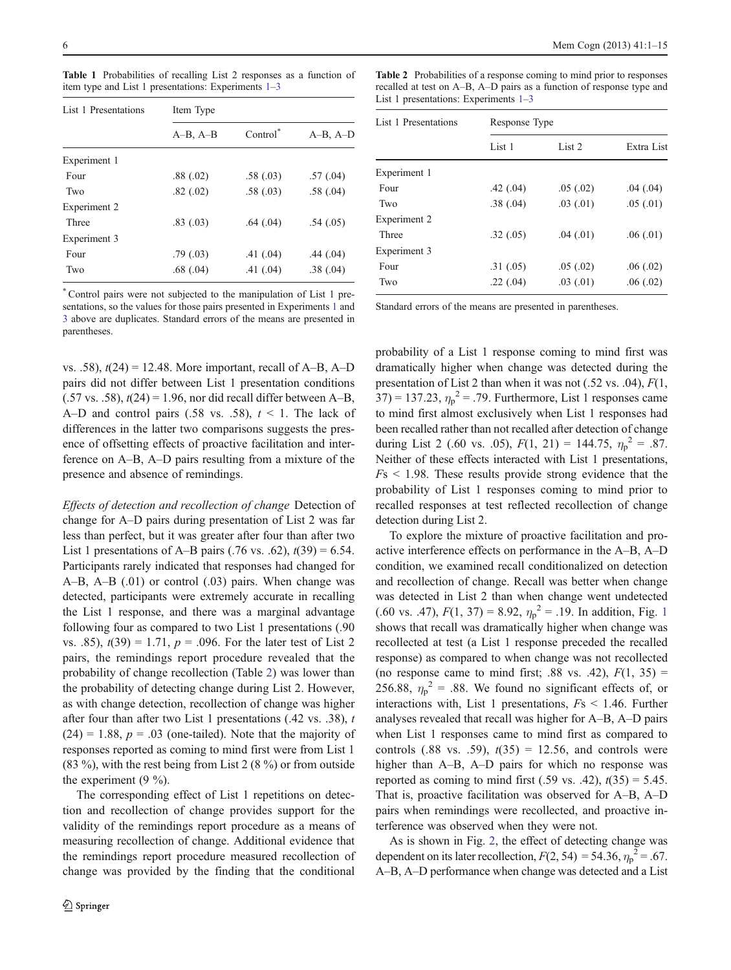| List 1 Presentations | Item Type  |                      |            |  |
|----------------------|------------|----------------------|------------|--|
|                      | $A-B, A-B$ | Control <sup>*</sup> | $A-B, A-D$ |  |
| Experiment 1         |            |                      |            |  |
| Four                 | .88(.02)   | .58(.03)             | .57(.04)   |  |
| Two                  | .82(.02)   | .58(.03)             | .58(.04)   |  |
| Experiment 2         |            |                      |            |  |
| Three                | .83(0.03)  | .64(.04)             | .54(.05)   |  |
| Experiment 3         |            |                      |            |  |
| Four                 | .79(03)    | .41(0.04)            | .44(.04)   |  |
| Two                  | .68(.04)   | .41(0.04)            | .38(.04)   |  |

<span id="page-5-0"></span>Table 1 Probabilities of recalling List 2 responses as a function of item type and List 1 presentations: Experiments [1](#page-3-0)–[3](#page-9-0)

\*Control pairs were not subjected to the manipulation of List 1 presentations, so the values for those pairs presented in Experiments [1](#page-3-0) and [3](#page-9-0) above are duplicates. Standard errors of the means are presented in parentheses.

vs. .58),  $t(24) = 12.48$ . More important, recall of A–B, A–D pairs did not differ between List 1 presentation conditions  $(.57 \text{ vs. } .58)$ ,  $t(24) = 1.96$ , nor did recall differ between A–B, A–D and control pairs (.58 vs. .58),  $t \le 1$ . The lack of differences in the latter two comparisons suggests the presence of offsetting effects of proactive facilitation and interference on A–B, A–D pairs resulting from a mixture of the presence and absence of remindings.

Effects of detection and recollection of change Detection of change for A–D pairs during presentation of List 2 was far less than perfect, but it was greater after four than after two List 1 presentations of A–B pairs (.76 vs. .62),  $t(39) = 6.54$ . Participants rarely indicated that responses had changed for A–B, A–B (.01) or control (.03) pairs. When change was detected, participants were extremely accurate in recalling the List 1 response, and there was a marginal advantage following four as compared to two List 1 presentations (.90 vs.  $.85$ ,  $t(39) = 1.71$ ,  $p = .096$ . For the later test of List 2 pairs, the remindings report procedure revealed that the probability of change recollection (Table 2) was lower than the probability of detecting change during List 2. However, as with change detection, recollection of change was higher after four than after two List 1 presentations  $(.42 \text{ vs. } .38)$ , t  $(24) = 1.88$ ,  $p = .03$  (one-tailed). Note that the majority of responses reported as coming to mind first were from List 1 (83 %), with the rest being from List 2 (8 %) or from outside the experiment  $(9 \%)$ .

The corresponding effect of List 1 repetitions on detection and recollection of change provides support for the validity of the remindings report procedure as a means of measuring recollection of change. Additional evidence that the remindings report procedure measured recollection of change was provided by the finding that the conditional Table 2 Probabilities of a response coming to mind prior to responses recalled at test on A–B, A–D pairs as a function of response type and List 1 presentations: Experiments [1](#page-3-0)–[3](#page-9-0)

| List 1 Presentations | Response Type |           |            |  |
|----------------------|---------------|-----------|------------|--|
|                      | List 1        | List 2    | Extra List |  |
| Experiment 1         |               |           |            |  |
| Four                 | .42(0.04)     | .05(.02)  | .04(.04)   |  |
| Two                  | .38(.04)      | .03(0.01) | .05(0.01)  |  |
| Experiment 2         |               |           |            |  |
| Three                | .32(.05)      | .04(01)   | .06(.01)   |  |
| Experiment 3         |               |           |            |  |
| Four                 | .31(0.05)     | .05(.02)  | .06(.02)   |  |
| Two                  | .22(0.04)     | .03(0.01) | .06(0.02)  |  |
|                      |               |           |            |  |

Standard errors of the means are presented in parentheses.

probability of a List 1 response coming to mind first was dramatically higher when change was detected during the presentation of List 2 than when it was not  $(.52 \text{ vs. } .04)$ ,  $F(1, 0)$  $37$ ) = 137.23,  $\eta_p^2$  = .79. Furthermore, List 1 responses came to mind first almost exclusively when List 1 responses had been recalled rather than not recalled after detection of change during List 2 (.60 vs. .05),  $F(1, 21) = 144.75$ ,  $\eta_p^2 = .87$ . Neither of these effects interacted with List 1 presentations,  $Fs < 1.98$ . These results provide strong evidence that the probability of List 1 responses coming to mind prior to recalled responses at test reflected recollection of change detection during List 2.

To explore the mixture of proactive facilitation and proactive interference effects on performance in the A–B, A–D condition, we examined recall conditionalized on detection and recollection of change. Recall was better when change was detected in List 2 than when change went undetected  $(.60 \text{ vs. } .47), F(1, 37) = 8.92, \eta_p^2 = .19.$  $(.60 \text{ vs. } .47), F(1, 37) = 8.92, \eta_p^2 = .19.$  $(.60 \text{ vs. } .47), F(1, 37) = 8.92, \eta_p^2 = .19.$  In addition, Fig. 1 shows that recall was dramatically higher when change was recollected at test (a List 1 response preceded the recalled response) as compared to when change was not recollected (no response came to mind first; .88 vs. .42),  $F(1, 35)$  = 256.88,  $\eta_p^2 = .88$ . We found no significant effects of, or interactions with, List 1 presentations,  $Fs < 1.46$ . Further analyses revealed that recall was higher for A–B, A–D pairs when List 1 responses came to mind first as compared to controls (.88 vs. .59),  $t(35) = 12.56$ , and controls were higher than A–B, A–D pairs for which no response was reported as coming to mind first (.59 vs. .42),  $t(35) = 5.45$ . That is, proactive facilitation was observed for A–B, A–D pairs when remindings were recollected, and proactive interference was observed when they were not.

As is shown in Fig. [2,](#page-6-0) the effect of detecting change was dependent on its later recollection,  $F(2, 54) = 54.36$ ,  $\eta_p^2 = .67$ . A–B, A–D performance when change was detected and a List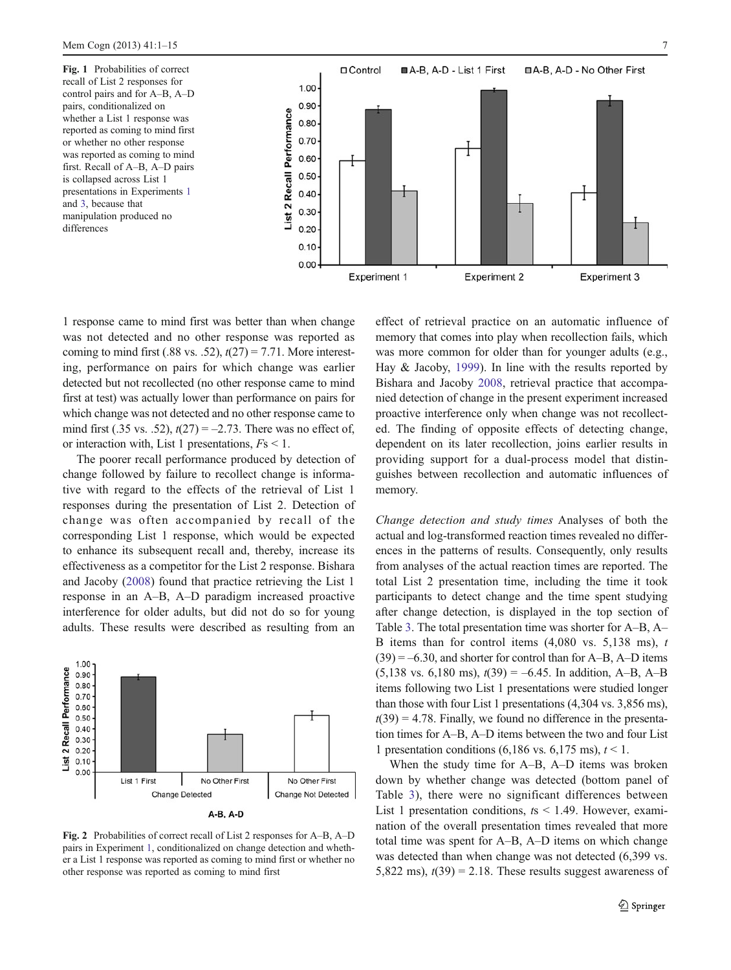<span id="page-6-0"></span>Fig. 1 Probabilities of correct recall of List 2 responses for control pairs and for A–B, A–D pairs, conditionalized on whether a List 1 response was reported as coming to mind first or whether no other response was reported as coming to mind first. Recall of A–B, A–D pairs is collapsed across List 1 presentations in Experiments [1](#page-3-0) and [3,](#page-9-0) because that manipulation produced no differences



1 response came to mind first was better than when change was not detected and no other response was reported as coming to mind first (.88 vs. .52),  $t(27) = 7.71$ . More interesting, performance on pairs for which change was earlier detected but not recollected (no other response came to mind first at test) was actually lower than performance on pairs for which change was not detected and no other response came to mind first (.35 vs. .52),  $t(27) = -2.73$ . There was no effect of, or interaction with, List 1 presentations,  $Fs < 1$ .

The poorer recall performance produced by detection of change followed by failure to recollect change is informative with regard to the effects of the retrieval of List 1 responses during the presentation of List 2. Detection of change was often accompanied by recall of the corresponding List 1 response, which would be expected to enhance its subsequent recall and, thereby, increase its effectiveness as a competitor for the List 2 response. Bishara and Jacoby ([2008\)](#page-13-0) found that practice retrieving the List 1 response in an A–B, A–D paradigm increased proactive interference for older adults, but did not do so for young adults. These results were described as resulting from an



Fig. 2 Probabilities of correct recall of List 2 responses for A–B, A–D pairs in Experiment [1,](#page-3-0) conditionalized on change detection and whether a List 1 response was reported as coming to mind first or whether no other response was reported as coming to mind first

effect of retrieval practice on an automatic influence of memory that comes into play when recollection fails, which was more common for older than for younger adults (e.g., Hay & Jacoby, [1999](#page-13-0)). In line with the results reported by Bishara and Jacoby [2008,](#page-13-0) retrieval practice that accompanied detection of change in the present experiment increased proactive interference only when change was not recollected. The finding of opposite effects of detecting change, dependent on its later recollection, joins earlier results in providing support for a dual-process model that distinguishes between recollection and automatic influences of memory.

Change detection and study times Analyses of both the actual and log-transformed reaction times revealed no differences in the patterns of results. Consequently, only results from analyses of the actual reaction times are reported. The total List 2 presentation time, including the time it took participants to detect change and the time spent studying after change detection, is displayed in the top section of Table [3](#page-7-0). The total presentation time was shorter for A–B, A– B items than for control items  $(4,080 \text{ vs. } 5,138 \text{ ms})$ , t  $(39) = -6.30$ , and shorter for control than for A–B, A–D items  $(5,138 \text{ vs. } 6,180 \text{ ms})$ ,  $t(39) = -6.45$ . In addition, A–B, A–B items following two List 1 presentations were studied longer than those with four List 1 presentations (4,304 vs. 3,856 ms),  $t(39) = 4.78$ . Finally, we found no difference in the presentation times for A–B, A–D items between the two and four List 1 presentation conditions (6,186 vs. 6,175 ms),  $t < 1$ .

When the study time for A–B, A–D items was broken down by whether change was detected (bottom panel of Table [3](#page-7-0)), there were no significant differences between List 1 presentation conditions,  $ts < 1.49$ . However, examination of the overall presentation times revealed that more total time was spent for A–B, A–D items on which change was detected than when change was not detected (6,399 vs. 5,822 ms),  $t(39) = 2.18$ . These results suggest awareness of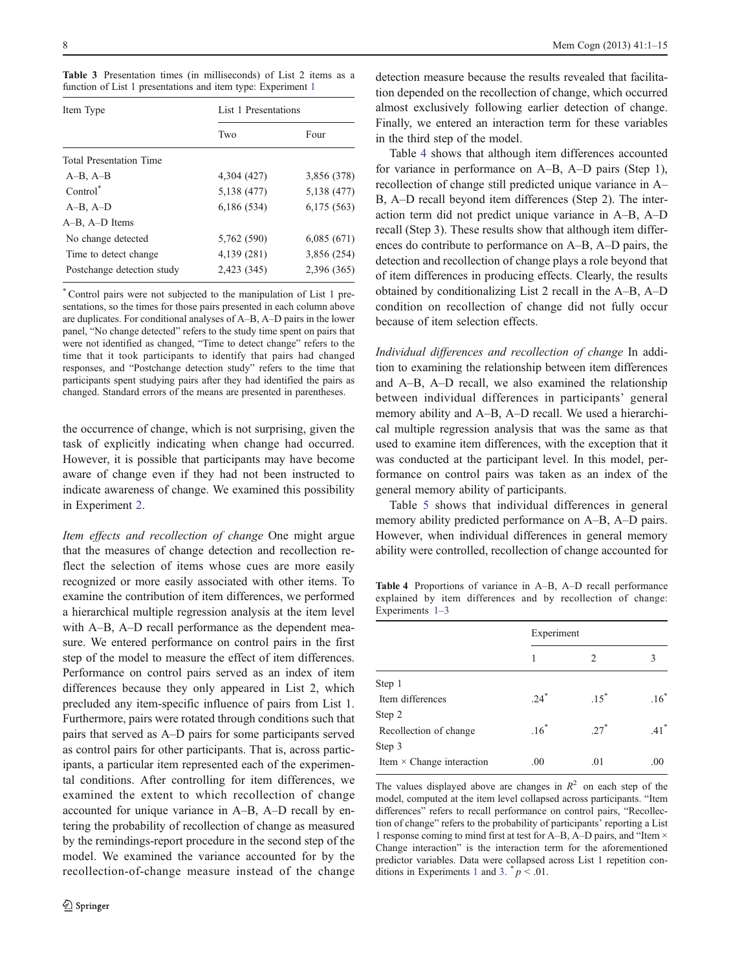<span id="page-7-0"></span>Table 3 Presentation times (in milliseconds) of List 2 items as a function of List 1 presentations and item type: Experiment [1](#page-3-0)

| Item Type                      | List 1 Presentations |             |
|--------------------------------|----------------------|-------------|
|                                | Two                  | Four        |
| <b>Total Presentation Time</b> |                      |             |
| $A-B, A-B$                     | 4,304 (427)          | 3,856 (378) |
| $Control^*$                    | 5,138 (477)          | 5,138 (477) |
| $A-B, A-D$                     | 6,186 (534)          | 6,175(563)  |
| $A-B$ , $A-D$ Items            |                      |             |
| No change detected             | 5,762 (590)          | 6,085(671)  |
| Time to detect change          | 4,139 (281)          | 3,856 (254) |
| Postchange detection study     | 2,423 (345)          | 2,396 (365) |

\*Control pairs were not subjected to the manipulation of List 1 presentations, so the times for those pairs presented in each column above are duplicates. For conditional analyses of A–B, A–D pairs in the lower panel, "No change detected" refers to the study time spent on pairs that were not identified as changed, "Time to detect change" refers to the time that it took participants to identify that pairs had changed responses, and "Postchange detection study" refers to the time that participants spent studying pairs after they had identified the pairs as changed. Standard errors of the means are presented in parentheses.

the occurrence of change, which is not surprising, given the task of explicitly indicating when change had occurred. However, it is possible that participants may have become aware of change even if they had not been instructed to indicate awareness of change. We examined this possibility in Experiment [2.](#page-8-0)

Item effects and recollection of change One might argue that the measures of change detection and recollection reflect the selection of items whose cues are more easily recognized or more easily associated with other items. To examine the contribution of item differences, we performed a hierarchical multiple regression analysis at the item level with A–B, A–D recall performance as the dependent measure. We entered performance on control pairs in the first step of the model to measure the effect of item differences. Performance on control pairs served as an index of item differences because they only appeared in List 2, which precluded any item-specific influence of pairs from List 1. Furthermore, pairs were rotated through conditions such that pairs that served as A–D pairs for some participants served as control pairs for other participants. That is, across participants, a particular item represented each of the experimental conditions. After controlling for item differences, we examined the extent to which recollection of change accounted for unique variance in A–B, A–D recall by entering the probability of recollection of change as measured by the remindings-report procedure in the second step of the model. We examined the variance accounted for by the recollection-of-change measure instead of the change

detection measure because the results revealed that facilitation depended on the recollection of change, which occurred almost exclusively following earlier detection of change. Finally, we entered an interaction term for these variables in the third step of the model.

Table 4 shows that although item differences accounted for variance in performance on A–B, A–D pairs (Step 1), recollection of change still predicted unique variance in A– B, A–D recall beyond item differences (Step 2). The interaction term did not predict unique variance in A–B, A–D recall (Step 3). These results show that although item differences do contribute to performance on A–B, A–D pairs, the detection and recollection of change plays a role beyond that of item differences in producing effects. Clearly, the results obtained by conditionalizing List 2 recall in the A–B, A–D condition on recollection of change did not fully occur because of item selection effects.

Individual differences and recollection of change In addition to examining the relationship between item differences and A–B, A–D recall, we also examined the relationship between individual differences in participants' general memory ability and A–B, A–D recall. We used a hierarchical multiple regression analysis that was the same as that used to examine item differences, with the exception that it was conducted at the participant level. In this model, performance on control pairs was taken as an index of the general memory ability of participants.

Table [5](#page-8-0) shows that individual differences in general memory ability predicted performance on A–B, A–D pairs. However, when individual differences in general memory ability were controlled, recollection of change accounted for

Table 4 Proportions of variance in A–B, A–D recall performance explained by item differences and by recollection of change: Experiments [1](#page-3-0)–[3](#page-9-0)

|                           | Experiment |        |        |
|---------------------------|------------|--------|--------|
|                           | 1          | 2      |        |
| Step 1                    |            |        |        |
| Item differences          | $.24*$     | $.15*$ | $.16*$ |
| Step 2                    |            |        |        |
| Recollection of change    | $.16*$     | $27^*$ | $.41*$ |
| Step 3                    |            |        |        |
| Item × Change interaction | .00        | .01    | .00    |

The values displayed above are changes in  $R^2$  on each step of the model, computed at the item level collapsed across participants. "Item differences" refers to recall performance on control pairs, "Recollection of change" refers to the probability of participants' reporting a List 1 response coming to mind first at test for A–B, A–D pairs, and "Item × Change interaction" is the interaction term for the aforementioned predictor variables. Data were collapsed across List 1 repetition con-ditions in Experiments [1](#page-3-0) and [3](#page-9-0).  $p < .01$ .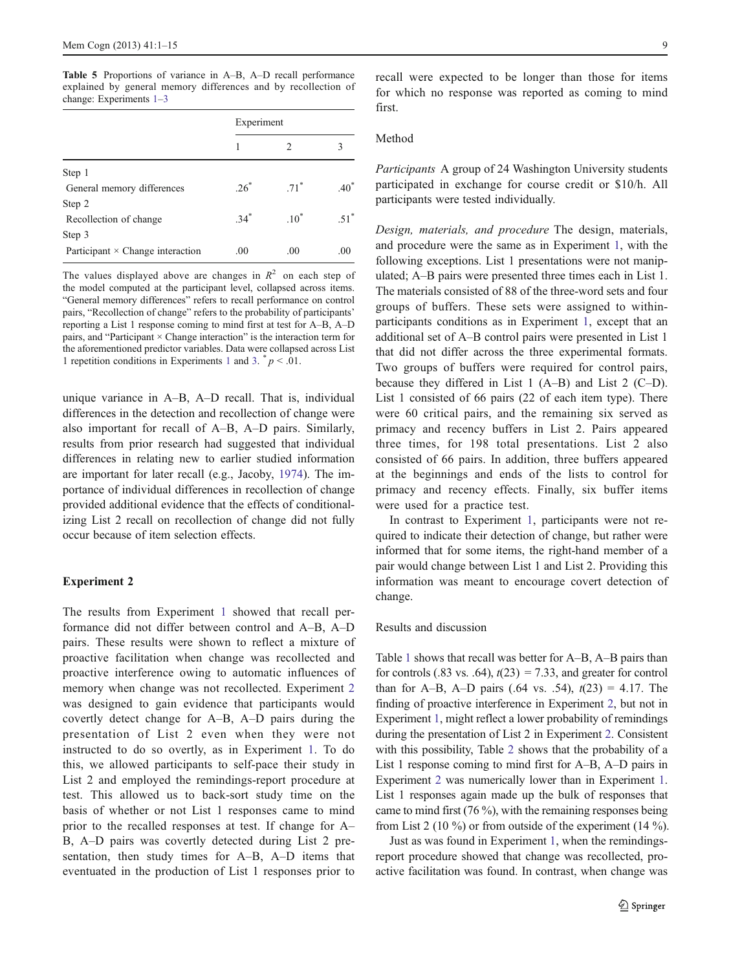<span id="page-8-0"></span>Table 5 Proportions of variance in A–B, A–D recall performance explained by general memory differences and by recollection of change: Experiments [1](#page-3-0)–[3](#page-9-0)

|                                         | Experiment  |         |        |
|-----------------------------------------|-------------|---------|--------|
|                                         | 1           |         | 3      |
| Step 1                                  |             |         |        |
| General memory differences              | $.26^\circ$ | $.71*$  | $.40*$ |
| Step 2                                  |             |         |        |
| Recollection of change                  | $.34*$      | $.10^*$ | $51^*$ |
| Step 3                                  |             |         |        |
| Participant $\times$ Change interaction | .00         | .00     | (0()   |

The values displayed above are changes in  $\mathbb{R}^2$  on each step of the model computed at the participant level, collapsed across items. "General memory differences" refers to recall performance on control pairs, "Recollection of change" refers to the probability of participants' reporting a List 1 response coming to mind first at test for A–B, A–D pairs, and "Participant  $\times$  Change interaction" is the interaction term for the aforementioned predictor variables. Data were collapsed across List [1](#page-3-0) repetition conditions in Experiments 1 and [3.](#page-9-0)  $p < .01$ .

unique variance in A–B, A–D recall. That is, individual differences in the detection and recollection of change were also important for recall of A–B, A–D pairs. Similarly, results from prior research had suggested that individual differences in relating new to earlier studied information are important for later recall (e.g., Jacoby, [1974](#page-13-0)). The importance of individual differences in recollection of change provided additional evidence that the effects of conditionalizing List 2 recall on recollection of change did not fully occur because of item selection effects.

## Experiment 2

The results from Experiment [1](#page-3-0) showed that recall performance did not differ between control and A–B, A–D pairs. These results were shown to reflect a mixture of proactive facilitation when change was recollected and proactive interference owing to automatic influences of memory when change was not recollected. Experiment 2 was designed to gain evidence that participants would covertly detect change for A–B, A–D pairs during the presentation of List 2 even when they were not instructed to do so overtly, as in Experiment [1](#page-3-0). To do this, we allowed participants to self-pace their study in List 2 and employed the remindings-report procedure at test. This allowed us to back-sort study time on the basis of whether or not List 1 responses came to mind prior to the recalled responses at test. If change for A– B, A–D pairs was covertly detected during List 2 presentation, then study times for A–B, A–D items that eventuated in the production of List 1 responses prior to

recall were expected to be longer than those for items for which no response was reported as coming to mind first.

Method

Participants A group of 24 Washington University students participated in exchange for course credit or \$10/h. All participants were tested individually.

Design, materials, and procedure The design, materials, and procedure were the same as in Experiment [1](#page-3-0), with the following exceptions. List 1 presentations were not manipulated; A–B pairs were presented three times each in List 1. The materials consisted of 88 of the three-word sets and four groups of buffers. These sets were assigned to withinparticipants conditions as in Experiment [1](#page-3-0), except that an additional set of A–B control pairs were presented in List 1 that did not differ across the three experimental formats. Two groups of buffers were required for control pairs, because they differed in List 1 (A–B) and List 2 (C–D). List 1 consisted of 66 pairs (22 of each item type). There were 60 critical pairs, and the remaining six served as primacy and recency buffers in List 2. Pairs appeared three times, for 198 total presentations. List 2 also consisted of 66 pairs. In addition, three buffers appeared at the beginnings and ends of the lists to control for primacy and recency effects. Finally, six buffer items were used for a practice test.

In contrast to Experiment [1](#page-3-0), participants were not required to indicate their detection of change, but rather were informed that for some items, the right-hand member of a pair would change between List 1 and List 2. Providing this information was meant to encourage covert detection of change.

## Results and discussion

Table [1](#page-5-0) shows that recall was better for A–B, A–B pairs than for controls (.83 vs. .64),  $t(23) = 7.33$ , and greater for control than for A–B, A–D pairs (.64 vs. .54),  $t(23) = 4.17$ . The finding of proactive interference in Experiment 2, but not in Experiment [1](#page-3-0), might reflect a lower probability of remindings during the presentation of List 2 in Experiment 2. Consistent with this possibility, Table [2](#page-5-0) shows that the probability of a List 1 response coming to mind first for A–B, A–D pairs in Experiment 2 was numerically lower than in Experiment [1.](#page-3-0) List 1 responses again made up the bulk of responses that came to mind first (76 %), with the remaining responses being from List 2 (10  $\%$ ) or from outside of the experiment (14  $\%$ ).

Just as was found in Experiment [1](#page-3-0), when the remindingsreport procedure showed that change was recollected, proactive facilitation was found. In contrast, when change was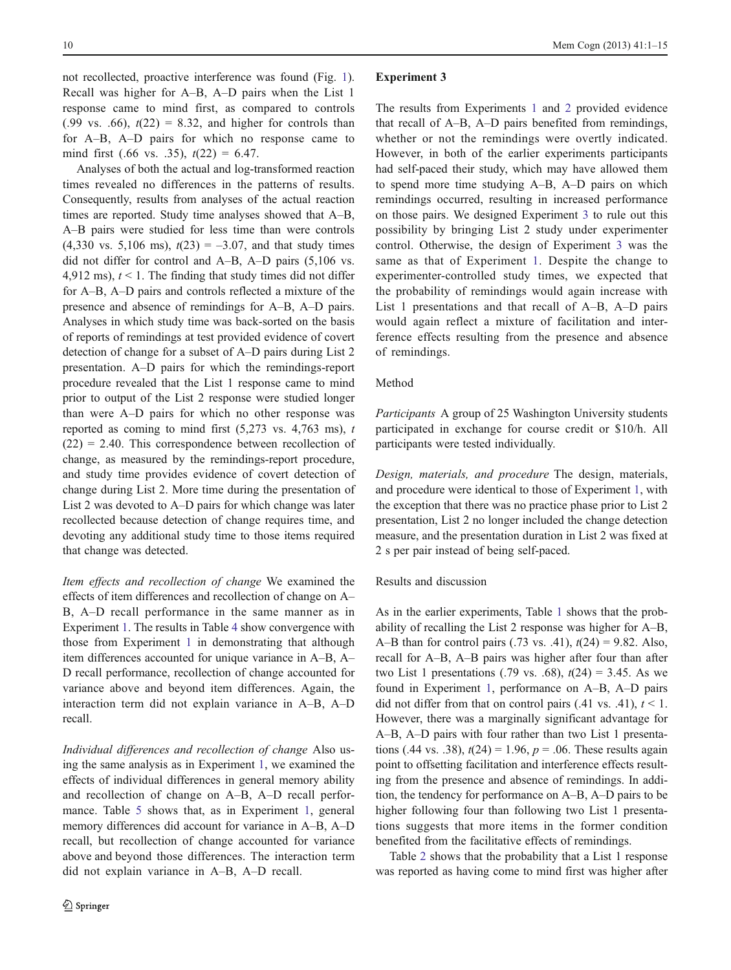<span id="page-9-0"></span>not recollected, proactive interference was found (Fig. [1](#page-6-0)). Recall was higher for A–B, A–D pairs when the List 1 response came to mind first, as compared to controls  $(.99 \text{ vs. } .66)$ ,  $t(22) = 8.32$ , and higher for controls than for A–B, A–D pairs for which no response came to mind first (.66 vs. .35),  $t(22) = 6.47$ .

Analyses of both the actual and log-transformed reaction times revealed no differences in the patterns of results. Consequently, results from analyses of the actual reaction times are reported. Study time analyses showed that A–B, A–B pairs were studied for less time than were controls  $(4,330 \text{ vs. } 5,106 \text{ ms})$ ,  $t(23) = -3.07$ , and that study times did not differ for control and A–B, A–D pairs (5,106 vs. 4,912 ms),  $t < 1$ . The finding that study times did not differ for A–B, A–D pairs and controls reflected a mixture of the presence and absence of remindings for A–B, A–D pairs. Analyses in which study time was back-sorted on the basis of reports of remindings at test provided evidence of covert detection of change for a subset of A–D pairs during List 2 presentation. A–D pairs for which the remindings-report procedure revealed that the List 1 response came to mind prior to output of the List 2 response were studied longer than were A–D pairs for which no other response was reported as coming to mind first  $(5,273 \text{ vs. } 4,763 \text{ ms})$ , t  $(22) = 2.40$ . This correspondence between recollection of change, as measured by the remindings-report procedure, and study time provides evidence of covert detection of change during List 2. More time during the presentation of List 2 was devoted to A–D pairs for which change was later recollected because detection of change requires time, and devoting any additional study time to those items required that change was detected.

Item effects and recollection of change We examined the effects of item differences and recollection of change on A– B, A–D recall performance in the same manner as in Experiment [1](#page-3-0). The results in Table [4](#page-7-0) show convergence with those from Experiment [1](#page-3-0) in demonstrating that although item differences accounted for unique variance in A–B, A– D recall performance, recollection of change accounted for variance above and beyond item differences. Again, the interaction term did not explain variance in A–B, A–D recall.

Individual differences and recollection of change Also using the same analysis as in Experiment [1,](#page-3-0) we examined the effects of individual differences in general memory ability and recollection of change on A–B, A–D recall performance. Table [5](#page-8-0) shows that, as in Experiment [1,](#page-3-0) general memory differences did account for variance in A–B, A–D recall, but recollection of change accounted for variance above and beyond those differences. The interaction term did not explain variance in A–B, A–D recall.

#### Experiment 3

The results from Experiments [1](#page-3-0) and [2](#page-8-0) provided evidence that recall of A–B, A–D pairs benefited from remindings, whether or not the remindings were overtly indicated. However, in both of the earlier experiments participants had self-paced their study, which may have allowed them to spend more time studying A–B, A–D pairs on which remindings occurred, resulting in increased performance on those pairs. We designed Experiment 3 to rule out this possibility by bringing List 2 study under experimenter control. Otherwise, the design of Experiment 3 was the same as that of Experiment [1](#page-3-0). Despite the change to experimenter-controlled study times, we expected that the probability of remindings would again increase with List 1 presentations and that recall of A–B, A–D pairs would again reflect a mixture of facilitation and interference effects resulting from the presence and absence of remindings.

## Method

Participants A group of 25 Washington University students participated in exchange for course credit or \$10/h. All participants were tested individually.

Design, materials, and procedure The design, materials, and procedure were identical to those of Experiment [1,](#page-3-0) with the exception that there was no practice phase prior to List 2 presentation, List 2 no longer included the change detection measure, and the presentation duration in List 2 was fixed at 2 s per pair instead of being self-paced.

## Results and discussion

As in the earlier experiments, Table [1](#page-5-0) shows that the probability of recalling the List 2 response was higher for A–B, A–B than for control pairs (.73 vs. .41),  $t(24) = 9.82$ . Also, recall for A–B, A–B pairs was higher after four than after two List 1 presentations (.79 vs. .68),  $t(24) = 3.45$ . As we found in Experiment [1,](#page-3-0) performance on A–B, A–D pairs did not differ from that on control pairs (.41 vs. .41),  $t < 1$ . However, there was a marginally significant advantage for A–B, A–D pairs with four rather than two List 1 presentations (.44 vs. .38),  $t(24) = 1.96$ ,  $p = .06$ . These results again point to offsetting facilitation and interference effects resulting from the presence and absence of remindings. In addition, the tendency for performance on A–B, A–D pairs to be higher following four than following two List 1 presentations suggests that more items in the former condition benefited from the facilitative effects of remindings.

Table [2](#page-5-0) shows that the probability that a List 1 response was reported as having come to mind first was higher after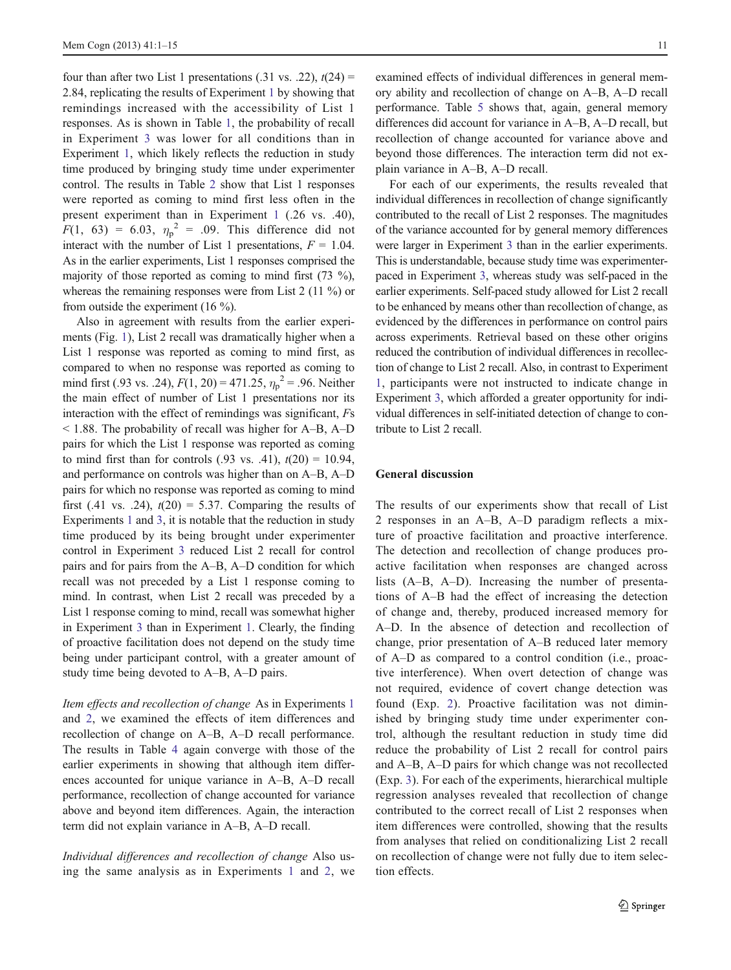<span id="page-10-0"></span>four than after two List 1 presentations (.31 vs. .22),  $t(24) =$ 2.84, replicating the results of Experiment [1](#page-3-0) by showing that remindings increased with the accessibility of List 1 responses. As is shown in Table [1,](#page-5-0) the probability of recall in Experiment [3](#page-9-0) was lower for all conditions than in Experiment [1,](#page-3-0) which likely reflects the reduction in study time produced by bringing study time under experimenter control. The results in Table [2](#page-5-0) show that List 1 responses were reported as coming to mind first less often in the present experiment than in Experiment [1](#page-3-0) (.26 vs. .40),  $F(1, 63) = 6.03, \eta_p^2 = .09$ . This difference did not interact with the number of List 1 presentations,  $F = 1.04$ . As in the earlier experiments, List 1 responses comprised the majority of those reported as coming to mind first (73 %), whereas the remaining responses were from List 2 (11 %) or from outside the experiment (16 %).

Also in agreement with results from the earlier experiments (Fig. [1\)](#page-6-0), List 2 recall was dramatically higher when a List 1 response was reported as coming to mind first, as compared to when no response was reported as coming to mind first (.93 vs. .24),  $F(1, 20) = 471.25$ ,  $\eta_p^2 = .96$ . Neither the main effect of number of List 1 presentations nor its interaction with the effect of remindings was significant, Fs < 1.88. The probability of recall was higher for A–B, A–D pairs for which the List 1 response was reported as coming to mind first than for controls (.93 vs. .41),  $t(20) = 10.94$ , and performance on controls was higher than on A–B, A–D pairs for which no response was reported as coming to mind first (.41 vs. .24),  $t(20) = 5.37$ . Comparing the results of Experiments [1](#page-3-0) and [3,](#page-9-0) it is notable that the reduction in study time produced by its being brought under experimenter control in Experiment [3](#page-9-0) reduced List 2 recall for control pairs and for pairs from the A–B, A–D condition for which recall was not preceded by a List 1 response coming to mind. In contrast, when List 2 recall was preceded by a List 1 response coming to mind, recall was somewhat higher in Experiment [3](#page-9-0) than in Experiment [1](#page-3-0). Clearly, the finding of proactive facilitation does not depend on the study time being under participant control, with a greater amount of study time being devoted to A–B, A–D pairs.

Item effects and recollection of change As in Experiments [1](#page-3-0) and [2](#page-8-0), we examined the effects of item differences and recollection of change on A–B, A–D recall performance. The results in Table [4](#page-7-0) again converge with those of the earlier experiments in showing that although item differences accounted for unique variance in A–B, A–D recall performance, recollection of change accounted for variance above and beyond item differences. Again, the interaction term did not explain variance in A–B, A–D recall.

Individual differences and recollection of change Also using the same analysis as in Experiments [1](#page-3-0) and [2,](#page-8-0) we

examined effects of individual differences in general memory ability and recollection of change on A–B, A–D recall performance. Table [5](#page-8-0) shows that, again, general memory differences did account for variance in A–B, A–D recall, but recollection of change accounted for variance above and beyond those differences. The interaction term did not explain variance in A–B, A–D recall.

For each of our experiments, the results revealed that individual differences in recollection of change significantly contributed to the recall of List 2 responses. The magnitudes of the variance accounted for by general memory differences were larger in Experiment [3](#page-9-0) than in the earlier experiments. This is understandable, because study time was experimenterpaced in Experiment [3,](#page-9-0) whereas study was self-paced in the earlier experiments. Self-paced study allowed for List 2 recall to be enhanced by means other than recollection of change, as evidenced by the differences in performance on control pairs across experiments. Retrieval based on these other origins reduced the contribution of individual differences in recollection of change to List 2 recall. Also, in contrast to Experiment [1](#page-3-0), participants were not instructed to indicate change in Experiment [3](#page-9-0), which afforded a greater opportunity for individual differences in self-initiated detection of change to contribute to List 2 recall.

## General discussion

The results of our experiments show that recall of List 2 responses in an A–B, A–D paradigm reflects a mixture of proactive facilitation and proactive interference. The detection and recollection of change produces proactive facilitation when responses are changed across lists (A–B, A–D). Increasing the number of presentations of A–B had the effect of increasing the detection of change and, thereby, produced increased memory for A–D. In the absence of detection and recollection of change, prior presentation of A–B reduced later memory of A–D as compared to a control condition (i.e., proactive interference). When overt detection of change was not required, evidence of covert change detection was found (Exp. [2\)](#page-8-0). Proactive facilitation was not diminished by bringing study time under experimenter control, although the resultant reduction in study time did reduce the probability of List 2 recall for control pairs and A–B, A–D pairs for which change was not recollected (Exp. [3\)](#page-9-0). For each of the experiments, hierarchical multiple regression analyses revealed that recollection of change contributed to the correct recall of List 2 responses when item differences were controlled, showing that the results from analyses that relied on conditionalizing List 2 recall on recollection of change were not fully due to item selection effects.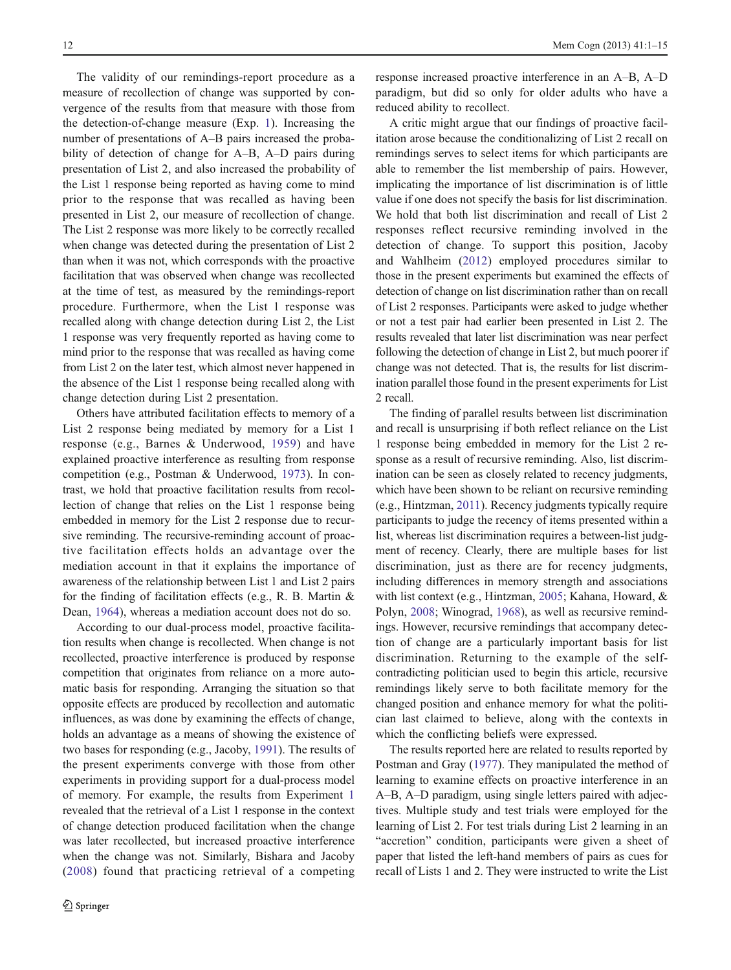The validity of our remindings-report procedure as a measure of recollection of change was supported by convergence of the results from that measure with those from the detection-of-change measure (Exp. [1\)](#page-3-0). Increasing the number of presentations of A–B pairs increased the probability of detection of change for A–B, A–D pairs during presentation of List 2, and also increased the probability of the List 1 response being reported as having come to mind prior to the response that was recalled as having been presented in List 2, our measure of recollection of change. The List 2 response was more likely to be correctly recalled when change was detected during the presentation of List 2 than when it was not, which corresponds with the proactive facilitation that was observed when change was recollected at the time of test, as measured by the remindings-report procedure. Furthermore, when the List 1 response was recalled along with change detection during List 2, the List 1 response was very frequently reported as having come to mind prior to the response that was recalled as having come from List 2 on the later test, which almost never happened in the absence of the List 1 response being recalled along with change detection during List 2 presentation.

Others have attributed facilitation effects to memory of a List 2 response being mediated by memory for a List 1 response (e.g., Barnes & Underwood, [1959\)](#page-13-0) and have explained proactive interference as resulting from response competition (e.g., Postman & Underwood, [1973\)](#page-14-0). In contrast, we hold that proactive facilitation results from recollection of change that relies on the List 1 response being embedded in memory for the List 2 response due to recursive reminding. The recursive-reminding account of proactive facilitation effects holds an advantage over the mediation account in that it explains the importance of awareness of the relationship between List 1 and List 2 pairs for the finding of facilitation effects (e.g., R. B. Martin & Dean, [1964](#page-14-0)), whereas a mediation account does not do so.

According to our dual-process model, proactive facilitation results when change is recollected. When change is not recollected, proactive interference is produced by response competition that originates from reliance on a more automatic basis for responding. Arranging the situation so that opposite effects are produced by recollection and automatic influences, as was done by examining the effects of change, holds an advantage as a means of showing the existence of two bases for responding (e.g., Jacoby, [1991\)](#page-13-0). The results of the present experiments converge with those from other experiments in providing support for a dual-process model of memory. For example, the results from Experiment [1](#page-3-0) revealed that the retrieval of a List 1 response in the context of change detection produced facilitation when the change was later recollected, but increased proactive interference when the change was not. Similarly, Bishara and Jacoby ([2008\)](#page-13-0) found that practicing retrieval of a competing

response increased proactive interference in an A–B, A–D paradigm, but did so only for older adults who have a reduced ability to recollect.

A critic might argue that our findings of proactive facilitation arose because the conditionalizing of List 2 recall on remindings serves to select items for which participants are able to remember the list membership of pairs. However, implicating the importance of list discrimination is of little value if one does not specify the basis for list discrimination. We hold that both list discrimination and recall of List 2 responses reflect recursive reminding involved in the detection of change. To support this position, Jacoby and Wahlheim [\(2012](#page-13-0)) employed procedures similar to those in the present experiments but examined the effects of detection of change on list discrimination rather than on recall of List 2 responses. Participants were asked to judge whether or not a test pair had earlier been presented in List 2. The results revealed that later list discrimination was near perfect following the detection of change in List 2, but much poorer if change was not detected. That is, the results for list discrimination parallel those found in the present experiments for List 2 recall.

The finding of parallel results between list discrimination and recall is unsurprising if both reflect reliance on the List 1 response being embedded in memory for the List 2 response as a result of recursive reminding. Also, list discrimination can be seen as closely related to recency judgments, which have been shown to be reliant on recursive reminding (e.g., Hintzman, [2011\)](#page-13-0). Recency judgments typically require participants to judge the recency of items presented within a list, whereas list discrimination requires a between-list judgment of recency. Clearly, there are multiple bases for list discrimination, just as there are for recency judgments, including differences in memory strength and associations with list context (e.g., Hintzman, [2005](#page-13-0); Kahana, Howard, & Polyn, [2008;](#page-13-0) Winograd, [1968](#page-14-0)), as well as recursive remindings. However, recursive remindings that accompany detection of change are a particularly important basis for list discrimination. Returning to the example of the selfcontradicting politician used to begin this article, recursive remindings likely serve to both facilitate memory for the changed position and enhance memory for what the politician last claimed to believe, along with the contexts in which the conflicting beliefs were expressed.

The results reported here are related to results reported by Postman and Gray ([1977\)](#page-14-0). They manipulated the method of learning to examine effects on proactive interference in an A–B, A–D paradigm, using single letters paired with adjectives. Multiple study and test trials were employed for the learning of List 2. For test trials during List 2 learning in an "accretion" condition, participants were given a sheet of paper that listed the left-hand members of pairs as cues for recall of Lists 1 and 2. They were instructed to write the List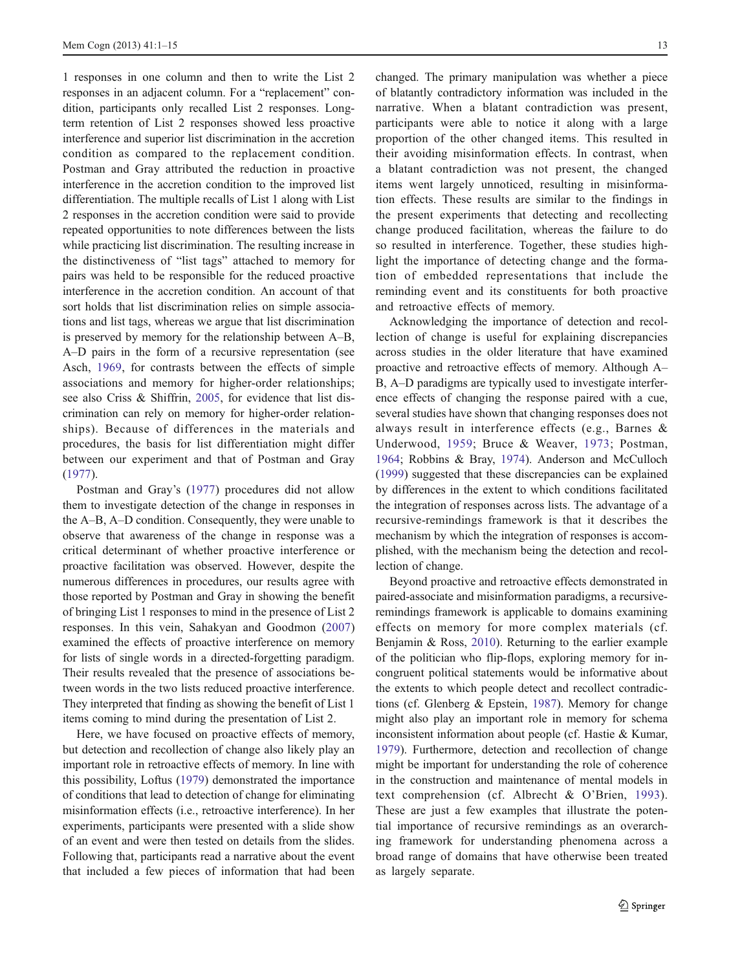1 responses in one column and then to write the List 2 responses in an adjacent column. For a "replacement" condition, participants only recalled List 2 responses. Longterm retention of List 2 responses showed less proactive interference and superior list discrimination in the accretion condition as compared to the replacement condition. Postman and Gray attributed the reduction in proactive interference in the accretion condition to the improved list differentiation. The multiple recalls of List 1 along with List 2 responses in the accretion condition were said to provide repeated opportunities to note differences between the lists while practicing list discrimination. The resulting increase in the distinctiveness of "list tags" attached to memory for pairs was held to be responsible for the reduced proactive interference in the accretion condition. An account of that sort holds that list discrimination relies on simple associations and list tags, whereas we argue that list discrimination is preserved by memory for the relationship between A–B, A–D pairs in the form of a recursive representation (see Asch, [1969](#page-13-0), for contrasts between the effects of simple associations and memory for higher-order relationships; see also Criss & Shiffrin, [2005](#page-13-0), for evidence that list discrimination can rely on memory for higher-order relationships). Because of differences in the materials and procedures, the basis for list differentiation might differ between our experiment and that of Postman and Gray [\(1977](#page-14-0)).

Postman and Gray's [\(1977\)](#page-14-0) procedures did not allow them to investigate detection of the change in responses in the A–B, A–D condition. Consequently, they were unable to observe that awareness of the change in response was a critical determinant of whether proactive interference or proactive facilitation was observed. However, despite the numerous differences in procedures, our results agree with those reported by Postman and Gray in showing the benefit of bringing List 1 responses to mind in the presence of List 2 responses. In this vein, Sahakyan and Goodmon ([2007\)](#page-14-0) examined the effects of proactive interference on memory for lists of single words in a directed-forgetting paradigm. Their results revealed that the presence of associations between words in the two lists reduced proactive interference. They interpreted that finding as showing the benefit of List 1 items coming to mind during the presentation of List 2.

Here, we have focused on proactive effects of memory, but detection and recollection of change also likely play an important role in retroactive effects of memory. In line with this possibility, Loftus ([1979\)](#page-13-0) demonstrated the importance of conditions that lead to detection of change for eliminating misinformation effects (i.e., retroactive interference). In her experiments, participants were presented with a slide show of an event and were then tested on details from the slides. Following that, participants read a narrative about the event that included a few pieces of information that had been

changed. The primary manipulation was whether a piece of blatantly contradictory information was included in the narrative. When a blatant contradiction was present, participants were able to notice it along with a large proportion of the other changed items. This resulted in their avoiding misinformation effects. In contrast, when a blatant contradiction was not present, the changed items went largely unnoticed, resulting in misinformation effects. These results are similar to the findings in the present experiments that detecting and recollecting change produced facilitation, whereas the failure to do so resulted in interference. Together, these studies highlight the importance of detecting change and the formation of embedded representations that include the reminding event and its constituents for both proactive and retroactive effects of memory.

Acknowledging the importance of detection and recollection of change is useful for explaining discrepancies across studies in the older literature that have examined proactive and retroactive effects of memory. Although A– B, A–D paradigms are typically used to investigate interference effects of changing the response paired with a cue, several studies have shown that changing responses does not always result in interference effects (e.g., Barnes & Underwood, [1959](#page-13-0); Bruce & Weaver, [1973](#page-13-0); Postman, [1964](#page-14-0); Robbins & Bray, [1974](#page-14-0)). Anderson and McCulloch [\(1999](#page-13-0)) suggested that these discrepancies can be explained by differences in the extent to which conditions facilitated the integration of responses across lists. The advantage of a recursive-remindings framework is that it describes the mechanism by which the integration of responses is accomplished, with the mechanism being the detection and recollection of change.

Beyond proactive and retroactive effects demonstrated in paired-associate and misinformation paradigms, a recursiveremindings framework is applicable to domains examining effects on memory for more complex materials (cf. Benjamin & Ross, [2010](#page-13-0)). Returning to the earlier example of the politician who flip-flops, exploring memory for incongruent political statements would be informative about the extents to which people detect and recollect contradictions (cf. Glenberg & Epstein, [1987\)](#page-13-0). Memory for change might also play an important role in memory for schema inconsistent information about people (cf. Hastie & Kumar, [1979](#page-13-0)). Furthermore, detection and recollection of change might be important for understanding the role of coherence in the construction and maintenance of mental models in text comprehension (cf. Albrecht & O'Brien, [1993](#page-13-0)). These are just a few examples that illustrate the potential importance of recursive remindings as an overarching framework for understanding phenomena across a broad range of domains that have otherwise been treated as largely separate.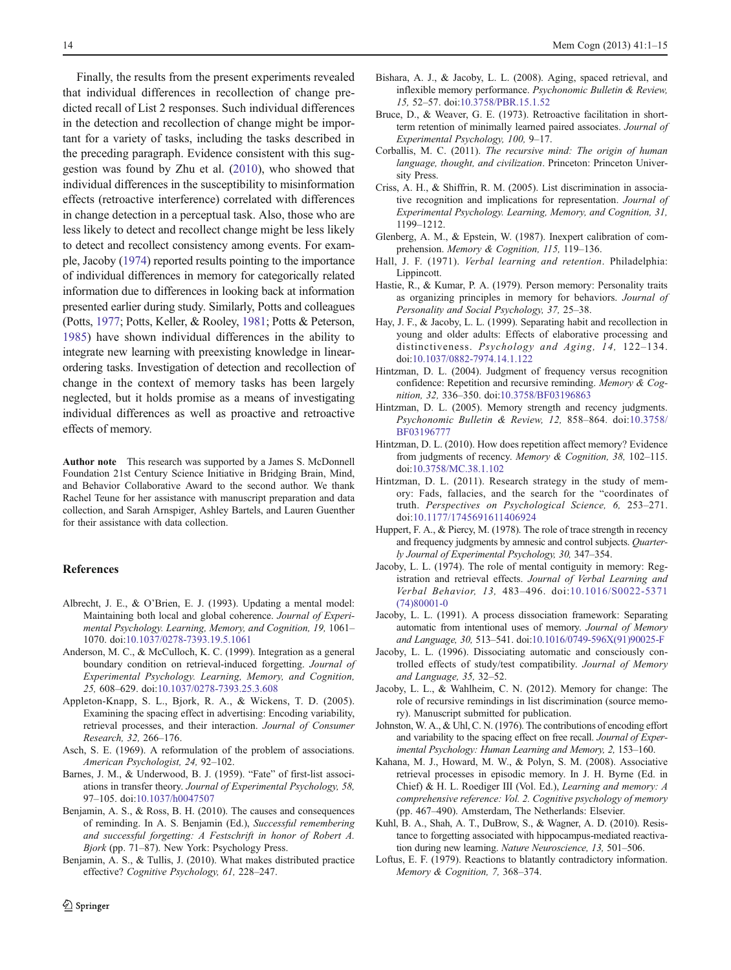<span id="page-13-0"></span>Finally, the results from the present experiments revealed that individual differences in recollection of change predicted recall of List 2 responses. Such individual differences in the detection and recollection of change might be important for a variety of tasks, including the tasks described in the preceding paragraph. Evidence consistent with this suggestion was found by Zhu et al. [\(2010\)](#page-14-0), who showed that individual differences in the susceptibility to misinformation effects (retroactive interference) correlated with differences in change detection in a perceptual task. Also, those who are less likely to detect and recollect change might be less likely to detect and recollect consistency among events. For example, Jacoby (1974) reported results pointing to the importance of individual differences in memory for categorically related information due to differences in looking back at information presented earlier during study. Similarly, Potts and colleagues (Potts, [1977;](#page-14-0) Potts, Keller, & Rooley, [1981;](#page-14-0) Potts & Peterson, [1985\)](#page-14-0) have shown individual differences in the ability to integrate new learning with preexisting knowledge in linearordering tasks. Investigation of detection and recollection of change in the context of memory tasks has been largely neglected, but it holds promise as a means of investigating individual differences as well as proactive and retroactive effects of memory.

Author note This research was supported by a James S. McDonnell Foundation 21st Century Science Initiative in Bridging Brain, Mind, and Behavior Collaborative Award to the second author. We thank Rachel Teune for her assistance with manuscript preparation and data collection, and Sarah Arnspiger, Ashley Bartels, and Lauren Guenther for their assistance with data collection.

## References

- Albrecht, J. E., & O'Brien, E. J. (1993). Updating a mental model: Maintaining both local and global coherence. Journal of Experimental Psychology. Learning, Memory, and Cognition, 19, 1061– 1070. doi:[10.1037/0278-7393.19.5.1061](http://dx.doi.org/10.1037/0278-7393.19.5.1061)
- Anderson, M. C., & McCulloch, K. C. (1999). Integration as a general boundary condition on retrieval-induced forgetting. Journal of Experimental Psychology. Learning, Memory, and Cognition, 25, 608–629. doi[:10.1037/0278-7393.25.3.608](http://dx.doi.org/10.1037/0278-7393.25.3.608)
- Appleton-Knapp, S. L., Bjork, R. A., & Wickens, T. D. (2005). Examining the spacing effect in advertising: Encoding variability, retrieval processes, and their interaction. Journal of Consumer Research, 32, 266–176.
- Asch, S. E. (1969). A reformulation of the problem of associations. American Psychologist, 24, 92–102.
- Barnes, J. M., & Underwood, B. J. (1959). "Fate" of first-list associations in transfer theory. Journal of Experimental Psychology, 58, 97–105. doi[:10.1037/h0047507](http://dx.doi.org/10.1037/h0047507)
- Benjamin, A. S., & Ross, B. H. (2010). The causes and consequences of reminding. In A. S. Benjamin (Ed.), Successful remembering and successful forgetting: A Festschrift in honor of Robert A. Bjork (pp. 71–87). New York: Psychology Press.
- Benjamin, A. S., & Tullis, J. (2010). What makes distributed practice effective? Cognitive Psychology, 61, 228–247.
- Bishara, A. J., & Jacoby, L. L. (2008). Aging, spaced retrieval, and inflexible memory performance. Psychonomic Bulletin & Review, 15, 52–57. doi[:10.3758/PBR.15.1.52](http://dx.doi.org/10.3758/PBR.15.1.52)
- Bruce, D., & Weaver, G. E. (1973). Retroactive facilitation in shortterm retention of minimally learned paired associates. Journal of Experimental Psychology, 100, 9–17.
- Corballis, M. C. (2011). The recursive mind: The origin of human language, thought, and civilization. Princeton: Princeton University Press.
- Criss, A. H., & Shiffrin, R. M. (2005). List discrimination in associative recognition and implications for representation. Journal of Experimental Psychology. Learning, Memory, and Cognition, 31, 1199–1212.
- Glenberg, A. M., & Epstein, W. (1987). Inexpert calibration of comprehension. Memory & Cognition, 115, 119–136.
- Hall, J. F. (1971). Verbal learning and retention. Philadelphia: Lippincott.
- Hastie, R., & Kumar, P. A. (1979). Person memory: Personality traits as organizing principles in memory for behaviors. Journal of Personality and Social Psychology, 37, 25–38.
- Hay, J. F., & Jacoby, L. L. (1999). Separating habit and recollection in young and older adults: Effects of elaborative processing and distinctiveness. Psychology and Aging, 14, 122–134. doi[:10.1037/0882-7974.14.1.122](http://dx.doi.org/10.1037/0882-7974.14.1.122)
- Hintzman, D. L. (2004). Judgment of frequency versus recognition confidence: Repetition and recursive reminding. Memory & Cognition, 32, 336–350. doi:[10.3758/BF03196863](http://dx.doi.org/10.3758/BF03196863)
- Hintzman, D. L. (2005). Memory strength and recency judgments. Psychonomic Bulletin & Review, 12, 858–864. doi[:10.3758/](http://dx.doi.org/10.3758/BF03196777) [BF03196777](http://dx.doi.org/10.3758/BF03196777)
- Hintzman, D. L. (2010). How does repetition affect memory? Evidence from judgments of recency. Memory & Cognition, 38, 102–115. doi[:10.3758/MC.38.1.102](http://dx.doi.org/10.3758/MC.38.1.102)
- Hintzman, D. L. (2011). Research strategy in the study of memory: Fads, fallacies, and the search for the "coordinates of truth. Perspectives on Psychological Science, 6, 253–271. doi:[10.1177/1745691611406924](http://dx.doi.org/10.1177/1745691611406924)
- Huppert, F. A., & Piercy, M. (1978). The role of trace strength in recency and frequency judgments by amnesic and control subjects. Quarterly Journal of Experimental Psychology, 30, 347–354.
- Jacoby, L. L. (1974). The role of mental contiguity in memory: Registration and retrieval effects. Journal of Verbal Learning and Verbal Behavior, 13, 483–496. doi:[10.1016/S0022-5371](http://dx.doi.org/10.1016/S0022-5371(74)80001-0) [\(74\)80001-0](http://dx.doi.org/10.1016/S0022-5371(74)80001-0)
- Jacoby, L. L. (1991). A process dissociation framework: Separating automatic from intentional uses of memory. Journal of Memory and Language, 30, 513–541. doi:[10.1016/0749-596X\(91\)90025-F](http://dx.doi.org/10.1016/0749-596X(91)90025-F)
- Jacoby, L. L. (1996). Dissociating automatic and consciously controlled effects of study/test compatibility. Journal of Memory and Language, 35, 32–52.
- Jacoby, L. L., & Wahlheim, C. N. (2012). Memory for change: The role of recursive remindings in list discrimination (source memory). Manuscript submitted for publication.
- Johnston, W. A., & Uhl, C. N. (1976). The contributions of encoding effort and variability to the spacing effect on free recall. Journal of Experimental Psychology: Human Learning and Memory, 2, 153–160.
- Kahana, M. J., Howard, M. W., & Polyn, S. M. (2008). Associative retrieval processes in episodic memory. In J. H. Byrne (Ed. in Chief) & H. L. Roediger III (Vol. Ed.), Learning and memory: A comprehensive reference: Vol. 2. Cognitive psychology of memory (pp. 467–490). Amsterdam, The Netherlands: Elsevier.
- Kuhl, B. A., Shah, A. T., DuBrow, S., & Wagner, A. D. (2010). Resistance to forgetting associated with hippocampus-mediated reactivation during new learning. Nature Neuroscience, 13, 501–506.
- Loftus, E. F. (1979). Reactions to blatantly contradictory information. Memory & Cognition, 7, 368–374.